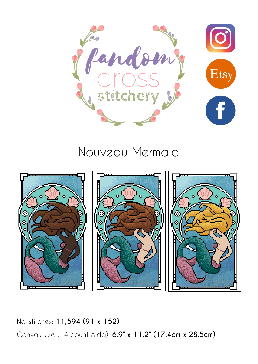

# Nouveau Mermaid



No. stitches: **11,594 (91 x 152)** Canvas size (14 count Aida): **6.9" x 11.2" (17.4cm x 28.5cm)**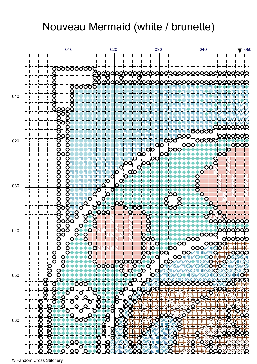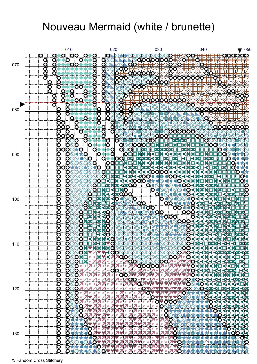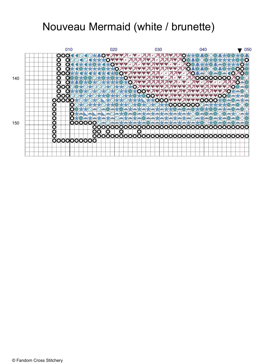![](_page_3_Figure_1.jpeg)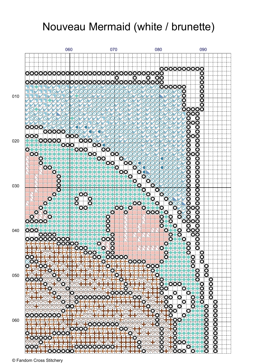![](_page_4_Figure_1.jpeg)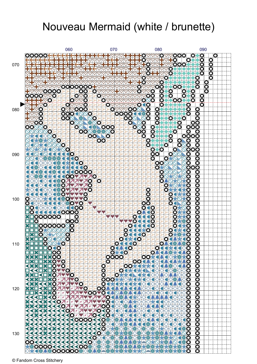![](_page_5_Figure_1.jpeg)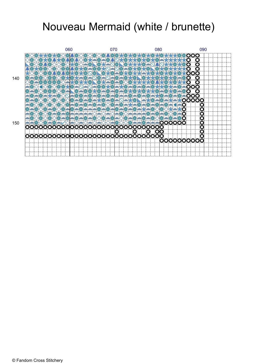![](_page_6_Figure_1.jpeg)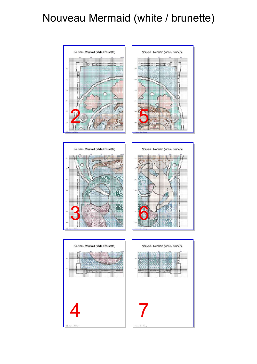![](_page_7_Figure_1.jpeg)